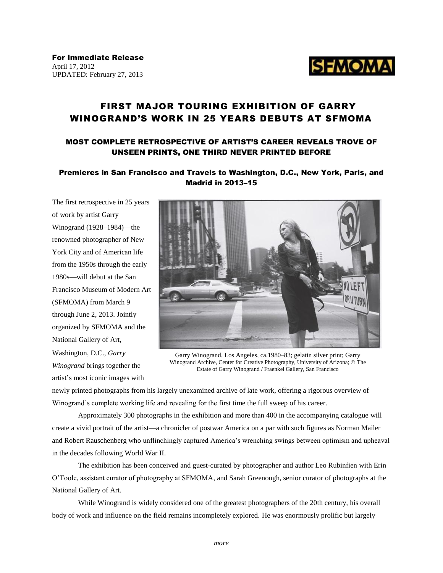

For Immediate Release April 17, 2012 UPDATED: February 27, 2013

# FIRST MAJOR TOURING EXHIBITION OF GARRY WINOGRAND'S WORK IN 25 YEARS DEBUTS AT SFMOMA

## MOST COMPLETE RETROSPECTIVE OF ARTIST'S CAREER REVEALS TROVE OF UNSEEN PRINTS, ONE THIRD NEVER PRINTED BEFORE

## Premieres in San Francisco and Travels to Washington, D.C., New York, Paris, and Madrid in 2013–15

The first retrospective in 25 years of work by artist Garry Winogrand (1928–1984)—the renowned photographer of New York City and of American life from the 1950s through the early 1980s—will debut at the San Francisco Museum of Modern Art (SFMOMA) from March 9 through June 2, 2013. Jointly organized by SFMOMA and the National Gallery of Art,

Washington, D.C., *Garry Winogrand* brings together the artist's most iconic images with



Garry Winogrand, Los Angeles, ca.1980–83; gelatin silver print; Garry Winogrand Archive, Center for Creative Photography, University of Arizona; © The Estate of Garry Winogrand / Fraenkel Gallery, San Francisco

newly printed photographs from his largely unexamined archive of late work, offering a rigorous overview of Winogrand's complete working life and revealing for the first time the full sweep of his career.

Approximately 300 photographs in the exhibition and more than 400 in the accompanying catalogue will create a vivid portrait of the artist—a chronicler of postwar America on a par with such figures as Norman Mailer and Robert Rauschenberg who unflinchingly captured America's wrenching swings between optimism and upheaval in the decades following World War II.

The exhibition has been conceived and guest-curated by photographer and author Leo Rubinfien with Erin O'Toole, assistant curator of photography at SFMOMA, and Sarah Greenough, senior curator of photographs at the National Gallery of Art.

While Winogrand is widely considered one of the greatest photographers of the 20th century, his overall body of work and influence on the field remains incompletely explored. He was enormously prolific but largely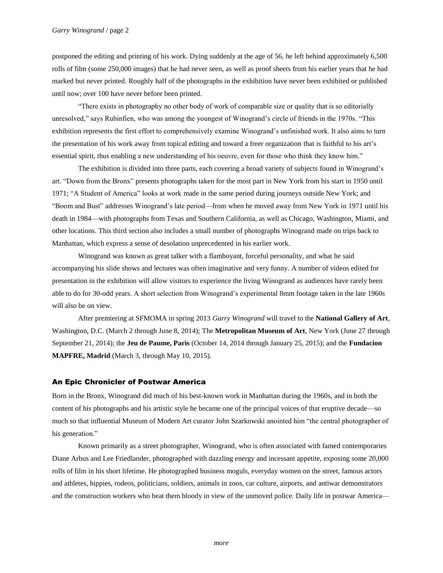postponed the editing and printing of his work. Dying suddenly at the age of 56, he left behind approximately 6,500 rolls of film (some 250,000 images) that he had never seen, as well as proof sheets from his earlier years that he had marked but never printed. Roughly half of the photographs in the exhibition have never been exhibited or published until now; over 100 have never before been printed.

"There exists in photography no other body of work of comparable size or quality that is so editorially unresolved," says Rubinfien, who was among the youngest of Winogrand's circle of friends in the 1970s. "This exhibition represents the first effort to comprehensively examine Winogrand's unfinished work. It also aims to turn the presentation of his work away from topical editing and toward a freer organization that is faithful to his art's essential spirit, thus enabling a new understanding of his oeuvre, even for those who think they know him."

The exhibition is divided into three parts, each covering a broad variety of subjects found in Winogrand's art. "Down from the Bronx" presents photographs taken for the most part in New York from his start in 1950 until 1971; "A Student of America" looks at work made in the same period during journeys outside New York; and "Boom and Bust" addresses Winogrand's late period—from when he moved away from New York in 1971 until his death in 1984—with photographs from Texas and Southern California, as well as Chicago, Washington, Miami, and other locations. This third section also includes a small number of photographs Winogrand made on trips back to Manhattan, which express a sense of desolation unprecedented in his earlier work.

Winogrand was known as great talker with a flamboyant, forceful personality, and what he said accompanying his slide shows and lectures was often imaginative and very funny. A number of videos edited for presentation in the exhibition will allow visitors to experience the living Winogrand as audiences have rarely been able to do for 30-odd years. A short selection from Winogrand's experimental 8mm footage taken in the late 1960s will also be on view.

After premiering at SFMOMA in spring 2013 *Garry Winogrand* will travel to the **National Gallery of Art**, Washington, D.C. (March 2 through June 8, 2014); The **Metropolitan Museum of Art**, New York (June 27 through September 21, 2014); the **Jeu de Paume, Paris** (October 14, 2014 through January 25, 2015); and the **Fundacion MAPFRE, Madrid** (March 3, through May 10, 2015).

### An Epic Chronicler of Postwar America

Born in the Bronx, Winogrand did much of his best-known work in Manhattan during the 1960s, and in both the content of his photographs and his artistic style he became one of the principal voices of that eruptive decade—so much so that influential Museum of Modern Art curator John Szarkowski anointed him "the central photographer of his generation."

Known primarily as a street photographer, Winogrand, who is often associated with famed contemporaries Diane Arbus and Lee Friedlander, photographed with dazzling energy and incessant appetite, exposing some 20,000 rolls of film in his short lifetime. He photographed business moguls, everyday women on the street, famous actors and athletes, hippies, rodeos, politicians, soldiers, animals in zoos, car culture, airports, and antiwar demonstrators and the construction workers who beat them bloody in view of the unmoved police. Daily life in postwar America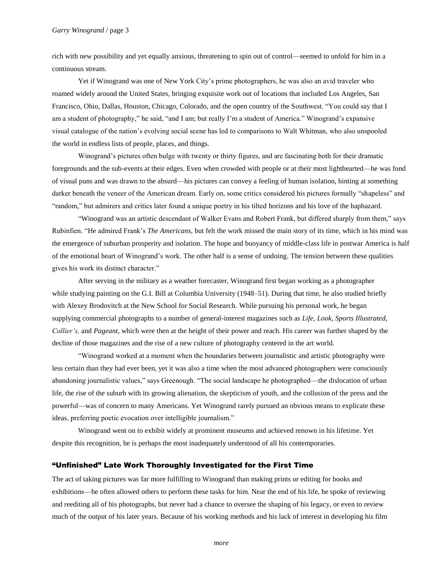rich with new possibility and yet equally anxious, threatening to spin out of control—seemed to unfold for him in a continuous stream.

Yet if Winogrand was one of New York City's prime photographers, he was also an avid traveler who roamed widely around the United States, bringing exquisite work out of locations that included Los Angeles, San Francisco, Ohio, Dallas, Houston, Chicago, Colorado, and the open country of the Southwest. "You could say that I am a student of photography," he said, "and I am; but really I'm a student of America." Winogrand's expansive visual catalogue of the nation's evolving social scene has led to comparisons to Walt Whitman, who also unspooled the world in endless lists of people, places, and things.

Winogrand's pictures often bulge with twenty or thirty figures, and are fascinating both for their dramatic foregrounds and the sub-events at their edges. Even when crowded with people or at their most lighthearted—he was fond of visual puns and was drawn to the absurd—his pictures can convey a feeling of human isolation, hinting at something darker beneath the veneer of the American dream. Early on, some critics considered his pictures formally "shapeless" and "random," but admirers and critics later found a unique poetry in his tilted horizons and his love of the haphazard.

"Winogrand was an artistic descendant of Walker Evans and Robert Frank, but differed sharply from them," says Rubinfien. "He admired Frank's *The Americans,* but felt the work missed the main story of its time, which in his mind was the emergence of suburban prosperity and isolation. The hope and buoyancy of middle-class life in postwar America is half of the emotional heart of Winogrand's work. The other half is a sense of undoing. The tension between these qualities gives his work its distinct character."

After serving in the military as a weather forecaster, Winogrand first began working as a photographer while studying painting on the G.I. Bill at Columbia University (1948–51). During that time, he also studied briefly with Alexey Brodovitch at the New School for Social Research. While pursuing his personal work, he began supplying commercial photographs to a number of general-interest magazines such as *Life*, *Look*, *Sports Illustrated*, *Collier's,* and *Pageant*, which were then at the height of their power and reach. His career was further shaped by the decline of those magazines and the rise of a new culture of photography centered in the art world.

"Winogrand worked at a moment when the boundaries between journalistic and artistic photography were less certain than they had ever been, yet it was also a time when the most advanced photographers were consciously abandoning journalistic values," says Greenough. "The social landscape he photographed—the dislocation of urban life, the rise of the suburb with its growing alienation, the skepticism of youth, and the collusion of the press and the powerful—was of concern to many Americans. Yet Winogrand rarely pursued an obvious means to explicate these ideas, preferring poetic evocation over intelligible journalism."

Winogrand went on to exhibit widely at prominent museums and achieved renown in his lifetime. Yet despite this recognition, he is perhaps the most inadequately understood of all his contemporaries.

### "Unfinished" Late Work Thoroughly Investigated for the First Time

The act of taking pictures was far more fulfilling to Winogrand than making prints or editing for books and exhibitions—he often allowed others to perform these tasks for him. Near the end of his life, he spoke of reviewing and reediting all of his photographs, but never had a chance to oversee the shaping of his legacy, or even to review much of the output of his later years. Because of his working methods and his lack of interest in developing his film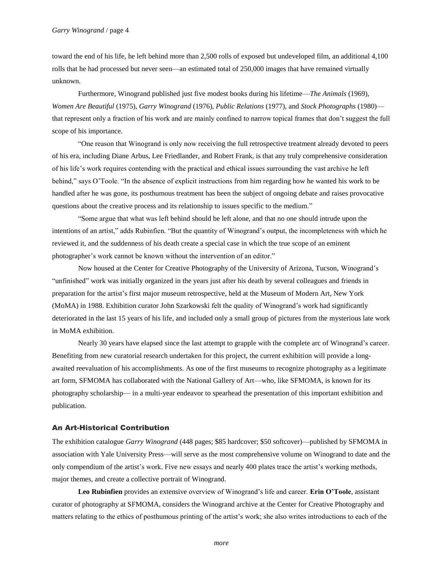toward the end of his life, he left behind more than 2,500 rolls of exposed but undeveloped film, an additional 4,100 rolls that he had processed but never seen—an estimated total of 250,000 images that have remained virtually unknown.

Furthermore, Winogrand published just five modest books during his lifetime—*The Animals* (1969), *Women Are Beautiful* (1975), *Garry Winogrand* (1976), *Public Relations* (1977), and *Stock Photographs* (1980) that represent only a fraction of his work and are mainly confined to narrow topical frames that don't suggest the full scope of his importance.

"One reason that Winogrand is only now receiving the full retrospective treatment already devoted to peers of his era, including Diane Arbus, Lee Friedlander, and Robert Frank, is that any truly comprehensive consideration of his life's work requires contending with the practical and ethical issues surrounding the vast archive he left behind," says O'Toole. "In the absence of explicit instructions from him regarding how he wanted his work to be handled after he was gone, its posthumous treatment has been the subject of ongoing debate and raises provocative questions about the creative process and its relationship to issues specific to the medium."

"Some argue that what was left behind should be left alone, and that no one should intrude upon the intentions of an artist," adds Rubinfien. "But the quantity of Winogrand's output, the incompleteness with which he reviewed it, and the suddenness of his death create a special case in which the true scope of an eminent photographer's work cannot be known without the intervention of an editor."

Now housed at the Center for Creative Photography of the University of Arizona, Tucson, Winogrand's "unfinished" work was initially organized in the years just after his death by several colleagues and friends in preparation for the artist's first major museum retrospective, held at the Museum of Modern Art, New York (MoMA) in 1988. Exhibition curator John Szarkowski felt the quality of Winogrand's work had significantly deteriorated in the last 15 years of his life, and included only a small group of pictures from the mysterious late work in MoMA exhibition.

Nearly 30 years have elapsed since the last attempt to grapple with the complete arc of Winogrand's career. Benefiting from new curatorial research undertaken for this project, the current exhibition will provide a longawaited reevaluation of his accomplishments. As one of the first museums to recognize photography as a legitimate art form, SFMOMA has collaborated with the National Gallery of Art—who, like SFMOMA, is known for its photography scholarship— in a multi-year endeavor to spearhead the presentation of this important exhibition and publication.

#### An Art-Historical Contribution

The exhibition catalogue *Garry Winogrand* (448 pages; \$85 hardcover; \$50 softcover)—published by SFMOMA in association with Yale University Press—will serve as the most comprehensive volume on Winogrand to date and the only compendium of the artist's work. Five new essays and nearly 400 plates trace the artist's working methods, major themes, and create a collective portrait of Winogrand.

**Leo Rubinfien** provides an extensive overview of Winogrand's life and career. **Erin O'Toole**, assistant curator of photography at SFMOMA, considers the Winogrand archive at the Center for Creative Photography and matters relating to the ethics of posthumous printing of the artist's work; she also writes introductions to each of the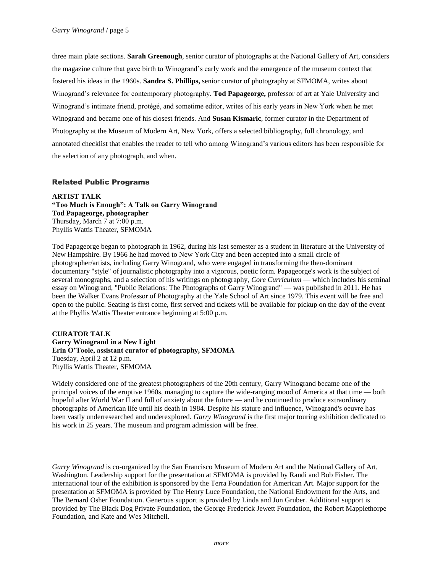three main plate sections. **Sarah Greenough**, senior curator of photographs at the National Gallery of Art, considers the magazine culture that gave birth to Winogrand's early work and the emergence of the museum context that fostered his ideas in the 1960s. **Sandra S. Phillips,** senior curator of photography at SFMOMA, writes about Winogrand's relevance for contemporary photography. **Tod Papageorge,** professor of art at Yale University and Winogrand's intimate friend, protégé, and sometime editor, writes of his early years in New York when he met Winogrand and became one of his closest friends. And **Susan Kismaric**, former curator in the Department of Photography at the Museum of Modern Art, New York, offers a selected bibliography, full chronology, and annotated checklist that enables the reader to tell who among Winogrand's various editors has been responsible for the selection of any photograph, and when.

## Related Public Programs

**ARTIST TALK "Too Much is Enough": A Talk on Garry Winogrand Tod Papageorge, photographer** Thursday, March 7 at 7:00 p.m. Phyllis Wattis Theater, SFMOMA

Tod Papageorge began to photograph in 1962, during his last semester as a student in literature at the University of New Hampshire. By 1966 he had moved to New York City and been accepted into a small circle of photographer/artists, including Garry Winogrand, who were engaged in transforming the then-dominant documentary "style" of journalistic photography into a vigorous, poetic form. Papageorge's work is the subject of several monographs, and a selection of his writings on photography, *Core Curriculum* — which includes his seminal essay on Winogrand, "Public Relations: The Photographs of Garry Winogrand" — was published in 2011. He has been the Walker Evans Professor of Photography at the Yale School of Art since 1979. This event will be free and open to the public. Seating is first come, first served and tickets will be available for pickup on the day of the event at the Phyllis Wattis Theater entrance beginning at 5:00 p.m.

## **CURATOR TALK Garry Winogrand in a New Light Erin O'Toole, assistant curator of photography, SFMOMA** Tuesday, April 2 at 12 p.m. Phyllis Wattis Theater, SFMOMA

Widely considered one of the greatest photographers of the 20th century, Garry Winogrand became one of the principal voices of the eruptive 1960s, managing to capture the wide-ranging mood of America at that time — both hopeful after World War II and full of anxiety about the future — and he continued to produce extraordinary photographs of American life until his death in 1984. Despite his stature and influence, Winogrand's oeuvre has been vastly underresearched and underexplored. *Garry Winogrand* is the first major touring exhibition dedicated to his work in 25 years. The museum and program admission will be free.

*Garry Winogrand* is co-organized by the San Francisco Museum of Modern Art and the National Gallery of Art, Washington. Leadership support for the presentation at SFMOMA is provided by Randi and Bob Fisher. The international tour of the exhibition is sponsored by the Terra Foundation for American Art. Major support for the presentation at SFMOMA is provided by The Henry Luce Foundation, the National Endowment for the Arts, and The Bernard Osher Foundation. Generous support is provided by Linda and Jon Gruber. Additional support is provided by The Black Dog Private Foundation, the George Frederick Jewett Foundation, the Robert Mapplethorpe Foundation, and Kate and Wes Mitchell.